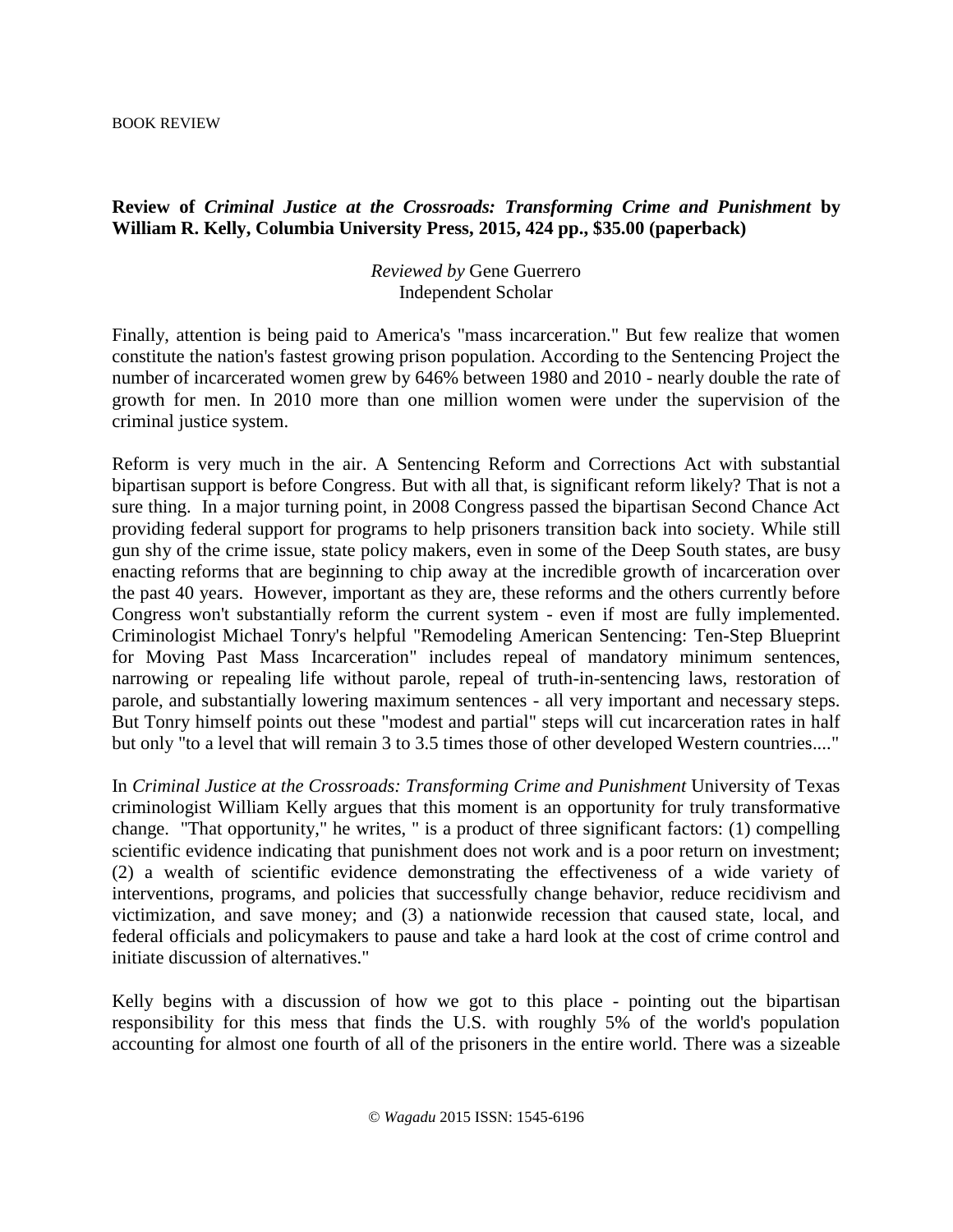BOOK REVIEW

## **Review of** *Criminal Justice at the Crossroads: Transforming Crime and Punishment* **by William R. Kelly, Columbia University Press, 2015, 424 pp., \$35.00 (paperback)**

## *Reviewed by* Gene Guerrero Independent Scholar

Finally, attention is being paid to America's "mass incarceration." But few realize that women constitute the nation's fastest growing prison population. According to the Sentencing Project the number of incarcerated women grew by 646% between 1980 and 2010 - nearly double the rate of growth for men. In 2010 more than one million women were under the supervision of the criminal justice system.

Reform is very much in the air. A Sentencing Reform and Corrections Act with substantial bipartisan support is before Congress. But with all that, is significant reform likely? That is not a sure thing. In a major turning point, in 2008 Congress passed the bipartisan Second Chance Act providing federal support for programs to help prisoners transition back into society. While still gun shy of the crime issue, state policy makers, even in some of the Deep South states, are busy enacting reforms that are beginning to chip away at the incredible growth of incarceration over the past 40 years. However, important as they are, these reforms and the others currently before Congress won't substantially reform the current system - even if most are fully implemented. Criminologist Michael Tonry's helpful "Remodeling American Sentencing: Ten-Step Blueprint for Moving Past Mass Incarceration" includes repeal of mandatory minimum sentences, narrowing or repealing life without parole, repeal of truth-in-sentencing laws, restoration of parole, and substantially lowering maximum sentences - all very important and necessary steps. But Tonry himself points out these "modest and partial" steps will cut incarceration rates in half but only "to a level that will remain 3 to 3.5 times those of other developed Western countries...."

In *Criminal Justice at the Crossroads: Transforming Crime and Punishment University of Texas* criminologist William Kelly argues that this moment is an opportunity for truly transformative change. "That opportunity," he writes, " is a product of three significant factors: (1) compelling scientific evidence indicating that punishment does not work and is a poor return on investment; (2) a wealth of scientific evidence demonstrating the effectiveness of a wide variety of interventions, programs, and policies that successfully change behavior, reduce recidivism and victimization, and save money; and (3) a nationwide recession that caused state, local, and federal officials and policymakers to pause and take a hard look at the cost of crime control and initiate discussion of alternatives."

Kelly begins with a discussion of how we got to this place - pointing out the bipartisan responsibility for this mess that finds the U.S. with roughly 5% of the world's population accounting for almost one fourth of all of the prisoners in the entire world. There was a sizeable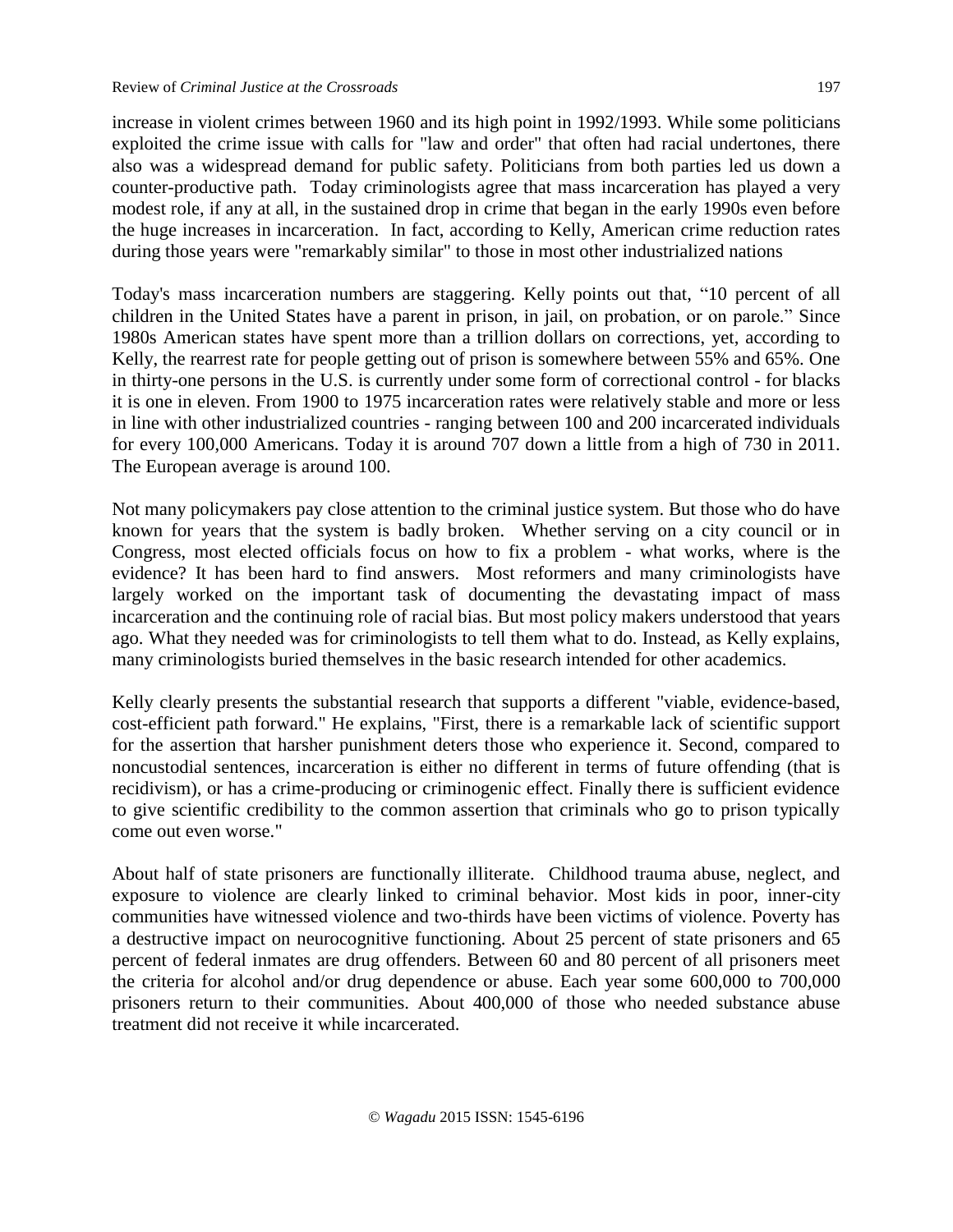increase in violent crimes between 1960 and its high point in 1992/1993. While some politicians exploited the crime issue with calls for "law and order" that often had racial undertones, there also was a widespread demand for public safety. Politicians from both parties led us down a counter-productive path. Today criminologists agree that mass incarceration has played a very modest role, if any at all, in the sustained drop in crime that began in the early 1990s even before the huge increases in incarceration. In fact, according to Kelly, American crime reduction rates during those years were "remarkably similar" to those in most other industrialized nations

Today's mass incarceration numbers are staggering. Kelly points out that, "10 percent of all children in the United States have a parent in prison, in jail, on probation, or on parole." Since 1980s American states have spent more than a trillion dollars on corrections, yet, according to Kelly, the rearrest rate for people getting out of prison is somewhere between 55% and 65%. One in thirty-one persons in the U.S. is currently under some form of correctional control - for blacks it is one in eleven. From 1900 to 1975 incarceration rates were relatively stable and more or less in line with other industrialized countries - ranging between 100 and 200 incarcerated individuals for every 100,000 Americans. Today it is around 707 down a little from a high of 730 in 2011. The European average is around 100.

Not many policymakers pay close attention to the criminal justice system. But those who do have known for years that the system is badly broken. Whether serving on a city council or in Congress, most elected officials focus on how to fix a problem - what works, where is the evidence? It has been hard to find answers. Most reformers and many criminologists have largely worked on the important task of documenting the devastating impact of mass incarceration and the continuing role of racial bias. But most policy makers understood that years ago. What they needed was for criminologists to tell them what to do. Instead, as Kelly explains, many criminologists buried themselves in the basic research intended for other academics.

Kelly clearly presents the substantial research that supports a different "viable, evidence-based, cost-efficient path forward." He explains, "First, there is a remarkable lack of scientific support for the assertion that harsher punishment deters those who experience it. Second, compared to noncustodial sentences, incarceration is either no different in terms of future offending (that is recidivism), or has a crime-producing or criminogenic effect. Finally there is sufficient evidence to give scientific credibility to the common assertion that criminals who go to prison typically come out even worse."

About half of state prisoners are functionally illiterate. Childhood trauma abuse, neglect, and exposure to violence are clearly linked to criminal behavior. Most kids in poor, inner-city communities have witnessed violence and two-thirds have been victims of violence. Poverty has a destructive impact on neurocognitive functioning. About 25 percent of state prisoners and 65 percent of federal inmates are drug offenders. Between 60 and 80 percent of all prisoners meet the criteria for alcohol and/or drug dependence or abuse. Each year some 600,000 to 700,000 prisoners return to their communities. About 400,000 of those who needed substance abuse treatment did not receive it while incarcerated.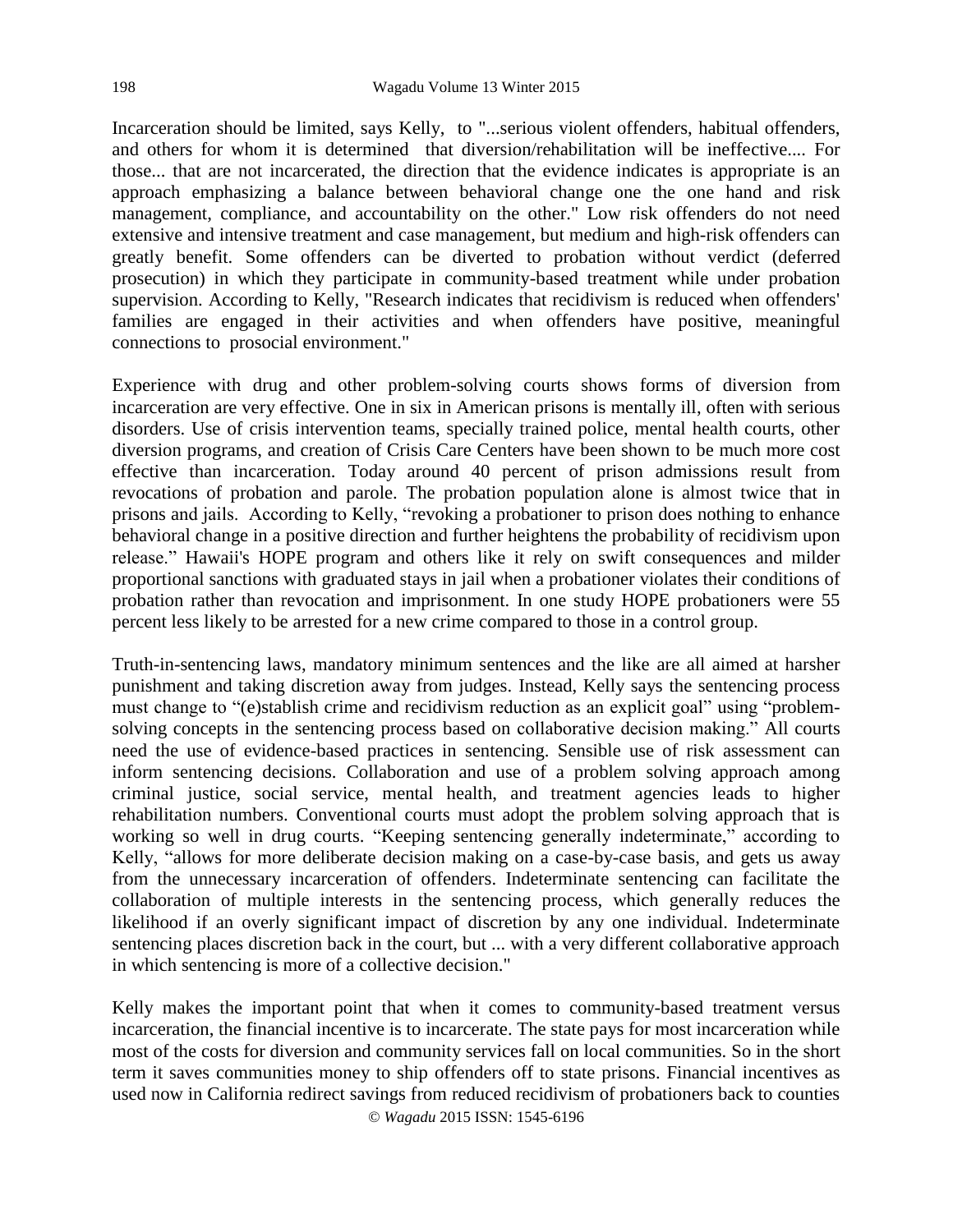Incarceration should be limited, says Kelly, to "...serious violent offenders, habitual offenders, and others for whom it is determined that diversion/rehabilitation will be ineffective.... For those... that are not incarcerated, the direction that the evidence indicates is appropriate is an approach emphasizing a balance between behavioral change one the one hand and risk management, compliance, and accountability on the other." Low risk offenders do not need extensive and intensive treatment and case management, but medium and high-risk offenders can greatly benefit. Some offenders can be diverted to probation without verdict (deferred prosecution) in which they participate in community-based treatment while under probation supervision. According to Kelly, "Research indicates that recidivism is reduced when offenders' families are engaged in their activities and when offenders have positive, meaningful connections to prosocial environment."

Experience with drug and other problem-solving courts shows forms of diversion from incarceration are very effective. One in six in American prisons is mentally ill, often with serious disorders. Use of crisis intervention teams, specially trained police, mental health courts, other diversion programs, and creation of Crisis Care Centers have been shown to be much more cost effective than incarceration. Today around 40 percent of prison admissions result from revocations of probation and parole. The probation population alone is almost twice that in prisons and jails. According to Kelly, "revoking a probationer to prison does nothing to enhance behavioral change in a positive direction and further heightens the probability of recidivism upon release." Hawaii's HOPE program and others like it rely on swift consequences and milder proportional sanctions with graduated stays in jail when a probationer violates their conditions of probation rather than revocation and imprisonment. In one study HOPE probationers were 55 percent less likely to be arrested for a new crime compared to those in a control group.

Truth-in-sentencing laws, mandatory minimum sentences and the like are all aimed at harsher punishment and taking discretion away from judges. Instead, Kelly says the sentencing process must change to "(e)stablish crime and recidivism reduction as an explicit goal" using "problemsolving concepts in the sentencing process based on collaborative decision making." All courts need the use of evidence-based practices in sentencing. Sensible use of risk assessment can inform sentencing decisions. Collaboration and use of a problem solving approach among criminal justice, social service, mental health, and treatment agencies leads to higher rehabilitation numbers. Conventional courts must adopt the problem solving approach that is working so well in drug courts. "Keeping sentencing generally indeterminate," according to Kelly, "allows for more deliberate decision making on a case-by-case basis, and gets us away from the unnecessary incarceration of offenders. Indeterminate sentencing can facilitate the collaboration of multiple interests in the sentencing process, which generally reduces the likelihood if an overly significant impact of discretion by any one individual. Indeterminate sentencing places discretion back in the court, but ... with a very different collaborative approach in which sentencing is more of a collective decision."

Kelly makes the important point that when it comes to community-based treatment versus incarceration, the financial incentive is to incarcerate. The state pays for most incarceration while most of the costs for diversion and community services fall on local communities. So in the short term it saves communities money to ship offenders off to state prisons. Financial incentives as used now in California redirect savings from reduced recidivism of probationers back to counties